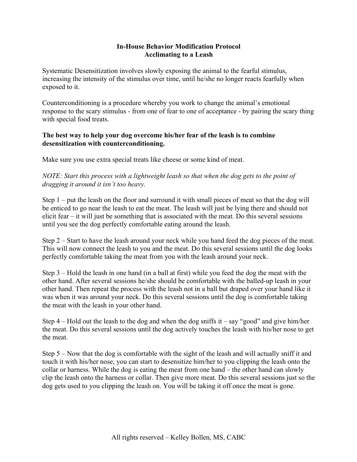## **In-House Behavior Modification Protocol Acclimating to a Leash**

Systematic Desensitization involves slowly exposing the animal to the fearful stimulus, increasing the intensity of the stimulus over time, until he/she no longer reacts fearfully when exposed to it.

Counterconditioning is a procedure whereby you work to change the animal's emotional response to the scary stimulus - from one of fear to one of acceptance - by pairing the scary thing with special food treats.

## **The best way to help your dog overcome his/her fear of the leash is to combine desensitization with counterconditioning.**

Make sure you use extra special treats like cheese or some kind of meat.

*NOTE: Start this process with a lightweight leash so that when the dog gets to the point of dragging it around it isn't too heavy.* 

Step 1 – put the leash on the floor and surround it with small pieces of meat so that the dog will be enticed to go near the leash to eat the meat. The leash will just be lying there and should not elicit fear – it will just be something that is associated with the meat. Do this several sessions until you see the dog perfectly comfortable eating around the leash.

Step 2 – Start to have the leash around your neck while you hand feed the dog pieces of the meat. This will now connect the leash to you and the meat. Do this several sessions until the dog looks perfectly comfortable taking the meat from you with the leash around your neck.

Step 3 – Hold the leash in one hand (in a ball at first) while you feed the dog the meat with the other hand. After several sessions he/she should be comfortable with the balled-up leash in your other hand. Then repeat the process with the leash not in a ball but draped over your hand like it was when it was around your neck. Do this several sessions until the dog is comfortable taking the meat with the leash in your other hand.

Step  $4$  – Hold out the leash to the dog and when the dog sniffs it – say "good" and give him/her the meat. Do this several sessions until the dog actively touches the leash with his/her nose to get the meat.

Step 5 – Now that the dog is comfortable with the sight of the leash and will actually sniff it and touch it with his/her nose, you can start to desensitize him/her to you clipping the leash onto the collar or harness. While the dog is eating the meat from one hand – the other hand can slowly clip the leash onto the harness or collar. Then give more meat. Do this several sessions just so the dog gets used to you clipping the leash on. You will be taking it off once the meat is gone.